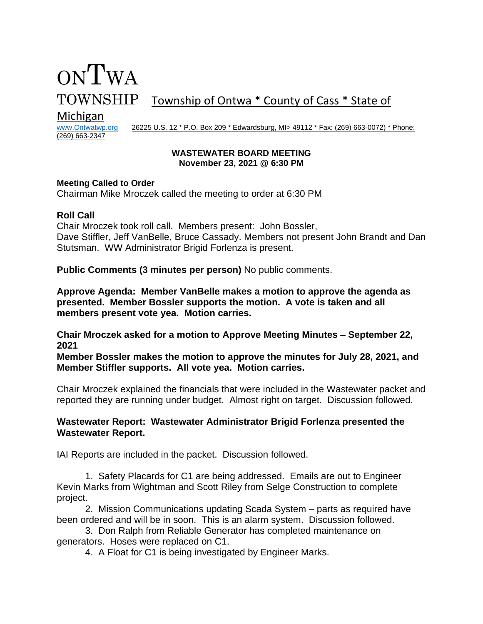# TOWNSHIP Township of Ontwa \* County of Cass \* State of

# Michigan<br>www.Ontwatwp.org

(269) 663-2347

ONTWA

26225 U.S. 12 \* P.O. Box 209 \* Edwardsburg, MI> 49112 \* Fax: (269) 663-0072) \* Phone:

#### **WASTEWATER BOARD MEETING November 23, 2021 @ 6:30 PM**

#### **Meeting Called to Order**

Chairman Mike Mroczek called the meeting to order at 6:30 PM

#### **Roll Call**

Chair Mroczek took roll call. Members present: John Bossler, Dave Stiffler, Jeff VanBelle, Bruce Cassady. Members not present John Brandt and Dan Stutsman. WW Administrator Brigid Forlenza is present.

**Public Comments (3 minutes per person)** No public comments.

**Approve Agenda: Member VanBelle makes a motion to approve the agenda as presented. Member Bossler supports the motion. A vote is taken and all members present vote yea. Motion carries.** 

**Chair Mroczek asked for a motion to Approve Meeting Minutes – September 22, 2021**

**Member Bossler makes the motion to approve the minutes for July 28, 2021, and Member Stiffler supports. All vote yea. Motion carries.** 

Chair Mroczek explained the financials that were included in the Wastewater packet and reported they are running under budget. Almost right on target. Discussion followed.

# **Wastewater Report: Wastewater Administrator Brigid Forlenza presented the Wastewater Report.**

IAI Reports are included in the packet. Discussion followed.

1. Safety Placards for C1 are being addressed. Emails are out to Engineer Kevin Marks from Wightman and Scott Riley from Selge Construction to complete project.

2. Mission Communications updating Scada System – parts as required have been ordered and will be in soon. This is an alarm system. Discussion followed.

3. Don Ralph from Reliable Generator has completed maintenance on generators. Hoses were replaced on C1.

4. A Float for C1 is being investigated by Engineer Marks.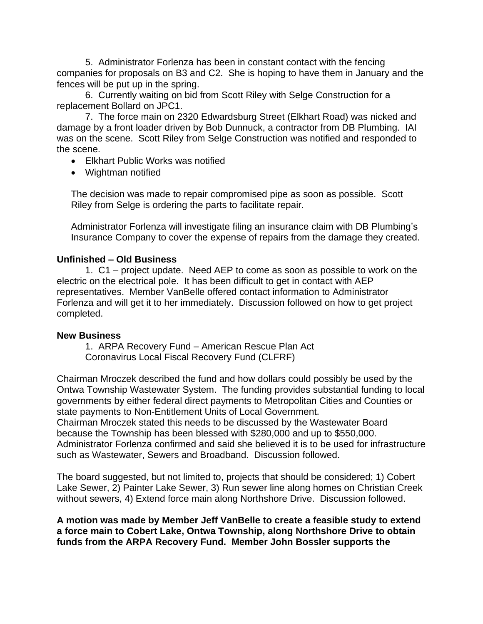5. Administrator Forlenza has been in constant contact with the fencing companies for proposals on B3 and C2. She is hoping to have them in January and the fences will be put up in the spring.

6. Currently waiting on bid from Scott Riley with Selge Construction for a replacement Bollard on JPC1.

7. The force main on 2320 Edwardsburg Street (Elkhart Road) was nicked and damage by a front loader driven by Bob Dunnuck, a contractor from DB Plumbing. IAI was on the scene. Scott Riley from Selge Construction was notified and responded to the scene.

- Elkhart Public Works was notified
- Wightman notified

The decision was made to repair compromised pipe as soon as possible. Scott Riley from Selge is ordering the parts to facilitate repair.

Administrator Forlenza will investigate filing an insurance claim with DB Plumbing's Insurance Company to cover the expense of repairs from the damage they created.

# **Unfinished – Old Business**

1. C1 – project update. Need AEP to come as soon as possible to work on the electric on the electrical pole. It has been difficult to get in contact with AEP representatives. Member VanBelle offered contact information to Administrator Forlenza and will get it to her immediately. Discussion followed on how to get project completed.

# **New Business**

1. ARPA Recovery Fund – American Rescue Plan Act Coronavirus Local Fiscal Recovery Fund (CLFRF)

Chairman Mroczek described the fund and how dollars could possibly be used by the Ontwa Township Wastewater System. The funding provides substantial funding to local governments by either federal direct payments to Metropolitan Cities and Counties or state payments to Non-Entitlement Units of Local Government.

Chairman Mroczek stated this needs to be discussed by the Wastewater Board because the Township has been blessed with \$280,000 and up to \$550,000. Administrator Forlenza confirmed and said she believed it is to be used for infrastructure such as Wastewater, Sewers and Broadband. Discussion followed.

The board suggested, but not limited to, projects that should be considered; 1) Cobert Lake Sewer, 2) Painter Lake Sewer, 3) Run sewer line along homes on Christian Creek without sewers, 4) Extend force main along Northshore Drive. Discussion followed.

**A motion was made by Member Jeff VanBelle to create a feasible study to extend a force main to Cobert Lake, Ontwa Township, along Northshore Drive to obtain funds from the ARPA Recovery Fund. Member John Bossler supports the**